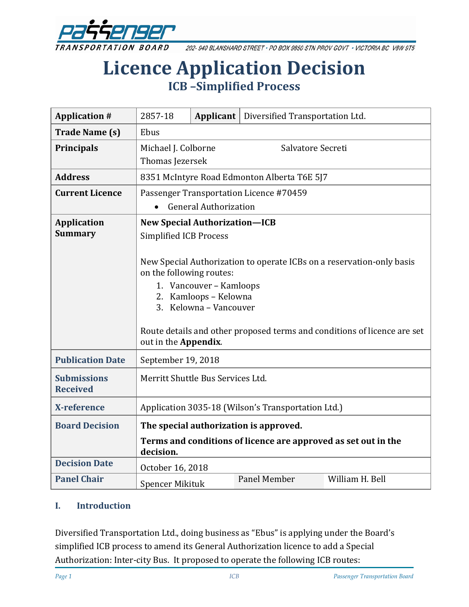

202-940 BLANSHARD STREET · PO BOX 9850 STN PROV GOVT · VICTORIA BC V8W 9T5

# **Licence Application Decision ICB –Simplified Process**

| <b>Application #</b>                  | 2857-18                                                                                                                                                                                                                                                                                                                                                      | Applicant | Diversified Transportation Ltd. |                 |
|---------------------------------------|--------------------------------------------------------------------------------------------------------------------------------------------------------------------------------------------------------------------------------------------------------------------------------------------------------------------------------------------------------------|-----------|---------------------------------|-----------------|
| <b>Trade Name (s)</b>                 | Ebus                                                                                                                                                                                                                                                                                                                                                         |           |                                 |                 |
| <b>Principals</b>                     | Salvatore Secreti<br>Michael J. Colborne<br>Thomas Jezersek                                                                                                                                                                                                                                                                                                  |           |                                 |                 |
| <b>Address</b>                        | 8351 McIntyre Road Edmonton Alberta T6E 5J7                                                                                                                                                                                                                                                                                                                  |           |                                 |                 |
| <b>Current Licence</b>                | Passenger Transportation Licence #70459<br><b>General Authorization</b>                                                                                                                                                                                                                                                                                      |           |                                 |                 |
| <b>Application</b><br><b>Summary</b>  | <b>New Special Authorization-ICB</b><br><b>Simplified ICB Process</b><br>New Special Authorization to operate ICBs on a reservation-only basis<br>on the following routes:<br>1. Vancouver - Kamloops<br>2. Kamloops - Kelowna<br>3. Kelowna - Vancouver<br>Route details and other proposed terms and conditions of licence are set<br>out in the Appendix. |           |                                 |                 |
| <b>Publication Date</b>               | September 19, 2018                                                                                                                                                                                                                                                                                                                                           |           |                                 |                 |
| <b>Submissions</b><br><b>Received</b> | Merritt Shuttle Bus Services Ltd.                                                                                                                                                                                                                                                                                                                            |           |                                 |                 |
| X-reference                           | Application 3035-18 (Wilson's Transportation Ltd.)                                                                                                                                                                                                                                                                                                           |           |                                 |                 |
| <b>Board Decision</b>                 | The special authorization is approved.                                                                                                                                                                                                                                                                                                                       |           |                                 |                 |
|                                       | Terms and conditions of licence are approved as set out in the<br>decision.                                                                                                                                                                                                                                                                                  |           |                                 |                 |
| <b>Decision Date</b>                  | October 16, 2018                                                                                                                                                                                                                                                                                                                                             |           |                                 |                 |
| <b>Panel Chair</b>                    | <b>Spencer Mikituk</b>                                                                                                                                                                                                                                                                                                                                       |           | Panel Member                    | William H. Bell |

#### **I. Introduction**

Diversified Transportation Ltd., doing business as "Ebus" is applying under the Board's simplified ICB process to amend its General Authorization licence to add a Special Authorization: Inter-city Bus. It proposed to operate the following ICB routes: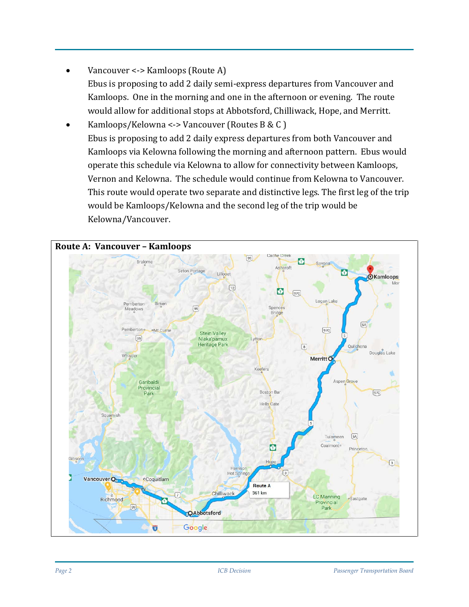- Vancouver <-> Kamloops (Route A) Ebus is proposing to add 2 daily semi-express departures from Vancouver and Kamloops. One in the morning and one in the afternoon or evening. The route would allow for additional stops at Abbotsford, Chilliwack, Hope, and Merritt.
- Kamloops/Kelowna <-> Vancouver (Routes B & C ) Ebus is proposing to add 2 daily express departures from both Vancouver and Kamloops via Kelowna following the morning and afternoon pattern. Ebus would operate this schedule via Kelowna to allow for connectivity between Kamloops, Vernon and Kelowna. The schedule would continue from Kelowna to Vancouver. This route would operate two separate and distinctive legs. The first leg of the trip would be Kamloops/Kelowna and the second leg of the trip would be Kelowna/Vancouver.

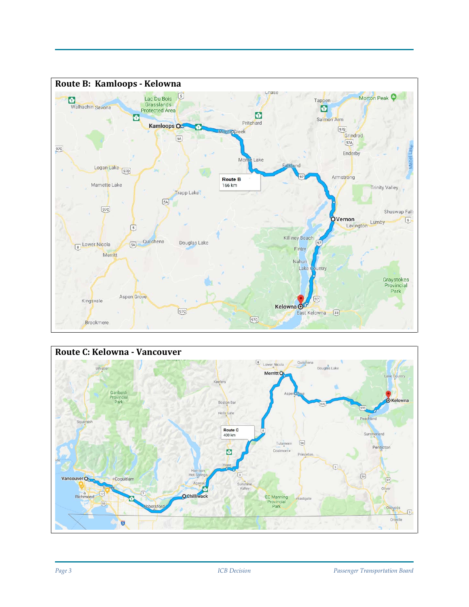

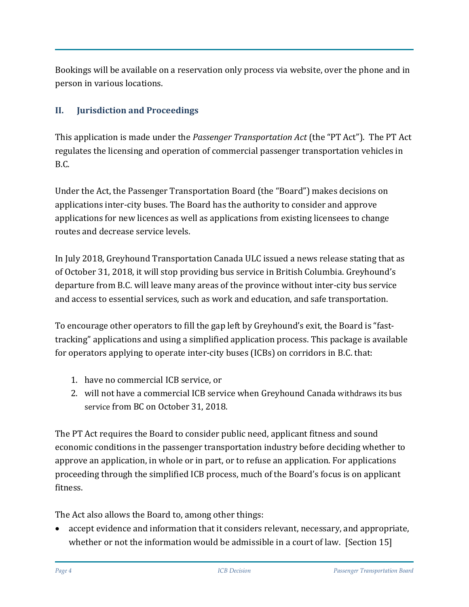Bookings will be available on a reservation only process via website, over the phone and in person in various locations.

# **II. Jurisdiction and Proceedings**

This application is made under the *Passenger Transportation Act* (the "PT Act"). The PT Act regulates the licensing and operation of commercial passenger transportation vehicles in B.C.

Under the Act, the Passenger Transportation Board (the "Board") makes decisions on applications inter-city buses. The Board has the authority to consider and approve applications for new licences as well as applications from existing licensees to change routes and decrease service levels.

In July 2018, Greyhound Transportation Canada ULC issued a news release stating that as of October 31, 2018, it will stop providing bus service in British Columbia. Greyhound's departure from B.C. will leave many areas of the province without inter-city bus service and access to essential services, such as work and education, and safe transportation.

To encourage other operators to fill the gap left by Greyhound's exit, the Board is "fasttracking" applications and using a simplified application process. This package is available for operators applying to operate inter-city buses (ICBs) on corridors in B.C. that:

- 1. have no commercial ICB service, or
- 2. will not have a commercial ICB service when Greyhound Canada [withdraws its bus](https://www.newswire.ca/news-releases/greyhound-canada-to-downsize-its-canadian-business-based-on-a-41-decline-in-ridership-since-2010-687687091.html)  [service](https://www.newswire.ca/news-releases/greyhound-canada-to-downsize-its-canadian-business-based-on-a-41-decline-in-ridership-since-2010-687687091.html) from BC on October 31, 2018.

The PT Act requires the Board to consider public need, applicant fitness and sound economic conditions in the passenger transportation industry before deciding whether to approve an application, in whole or in part, or to refuse an application. For applications proceeding through the simplified ICB process, much of the Board's focus is on applicant fitness.

The Act also allows the Board to, among other things:

• accept evidence and information that it considers relevant, necessary, and appropriate, whether or not the information would be admissible in a court of law. [Section 15]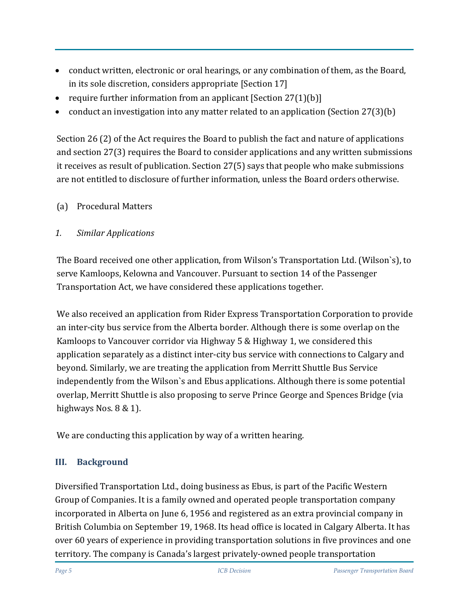- conduct written, electronic or oral hearings, or any combination of them, as the Board, in its sole discretion, considers appropriate [Section 17]
- require further information from an applicant  $[Section 27(1)(b)]$
- conduct an investigation into any matter related to an application (Section 27(3)(b)

Section 26 (2) of the Act requires the Board to publish the fact and nature of applications and section 27(3) requires the Board to consider applications and any written submissions it receives as result of publication. Section 27(5) says that people who make submissions are not entitled to disclosure of further information, unless the Board orders otherwise.

(a) Procedural Matters

#### *1. Similar Applications*

The Board received one other application, from Wilson's Transportation Ltd. (Wilson`s), to serve Kamloops, Kelowna and Vancouver. Pursuant to section 14 of the Passenger Transportation Act, we have considered these applications together.

We also received an application from Rider Express Transportation Corporation to provide an inter-city bus service from the Alberta border. Although there is some overlap on the Kamloops to Vancouver corridor via Highway 5 & Highway 1, we considered this application separately as a distinct inter-city bus service with connections to Calgary and beyond. Similarly, we are treating the application from Merritt Shuttle Bus Service independently from the Wilson`s and Ebus applications. Although there is some potential overlap, Merritt Shuttle is also proposing to serve Prince George and Spences Bridge (via highways Nos. 8 & 1).

We are conducting this application by way of a written hearing.

# **III. Background**

Diversified Transportation Ltd., doing business as Ebus, is part of the Pacific Western Group of Companies. It is a family owned and operated people transportation company incorporated in Alberta on June 6, 1956 and registered as an extra provincial company in British Columbia on September 19, 1968. Its head office is located in Calgary Alberta. It has over 60 years of experience in providing transportation solutions in five provinces and one territory. The company is Canada's largest privately-owned people transportation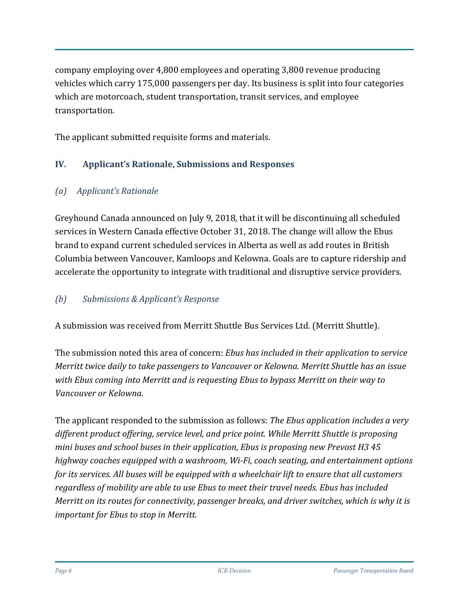company employing over 4,800 employees and operating 3,800 revenue producing vehicles which carry 175,000 passengers per day. Its business is split into four categories which are motorcoach, student transportation, transit services, and employee transportation.

The applicant submitted requisite forms and materials.

# **IV. Applicant's Rationale, Submissions and Responses**

# *(a) Applicant's Rationale*

Greyhound Canada announced on July 9, 2018, that it will be discontinuing all scheduled services in Western Canada effective October 31, 2018. The change will allow the Ebus brand to expand current scheduled services in Alberta as well as add routes in British Columbia between Vancouver, Kamloops and Kelowna. Goals are to capture ridership and accelerate the opportunity to integrate with traditional and disruptive service providers.

# *(b) Submissions & Applicant's Response*

A submission was received from Merritt Shuttle Bus Services Ltd. (Merritt Shuttle).

The submission noted this area of concern: *Ebus has included in their application to service Merritt twice daily to take passengers to Vancouver or Kelowna. Merritt Shuttle has an issue with Ebus coming into Merritt and is requesting Ebus to bypass Merritt on their way to Vancouver or Kelowna*.

The applicant responded to the submission as follows: *The Ebus application includes a very different product offering, service level, and price point. While Merritt Shuttle is proposing mini buses and school buses in their application, Ebus is proposing new Prevost H3 45 highway coaches equipped with a washroom, Wi-Fi, coach seating, and entertainment options for its services. All buses will be equipped with a wheelchair lift to ensure that all customers regardless of mobility are able to use Ebus to meet their travel needs. Ebus has included Merritt on its routes for connectivity, passenger breaks, and driver switches, which is why it is important for Ebus to stop in Merritt.*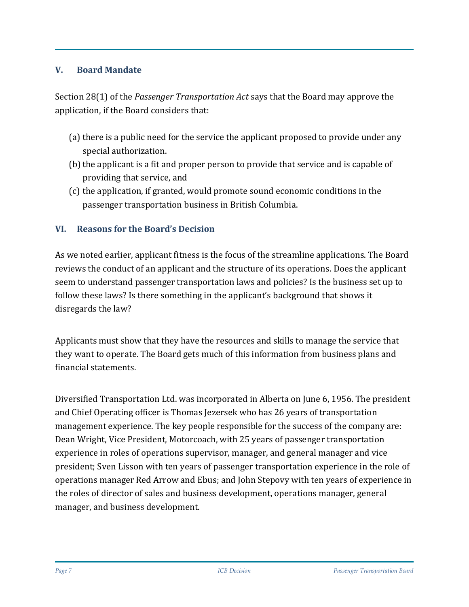#### **V. Board Mandate**

Section 28(1) of the *Passenger Transportation Act* says that the Board may approve the application, if the Board considers that:

- (a) there is a public need for the service the applicant proposed to provide under any special authorization.
- (b) the applicant is a fit and proper person to provide that service and is capable of providing that service, and
- (c) the application, if granted, would promote sound economic conditions in the passenger transportation business in British Columbia.

# **VI. Reasons for the Board's Decision**

As we noted earlier, applicant fitness is the focus of the streamline applications. The Board reviews the conduct of an applicant and the structure of its operations. Does the applicant seem to understand passenger transportation laws and policies? Is the business set up to follow these laws? Is there something in the applicant's background that shows it disregards the law?

Applicants must show that they have the resources and skills to manage the service that they want to operate. The Board gets much of this information from business plans and financial statements.

Diversified Transportation Ltd. was incorporated in Alberta on June 6, 1956. The president and Chief Operating officer is Thomas Jezersek who has 26 years of transportation management experience. The key people responsible for the success of the company are: Dean Wright, Vice President, Motorcoach, with 25 years of passenger transportation experience in roles of operations supervisor, manager, and general manager and vice president; Sven Lisson with ten years of passenger transportation experience in the role of operations manager Red Arrow and Ebus; and John Stepovy with ten years of experience in the roles of director of sales and business development, operations manager, general manager, and business development.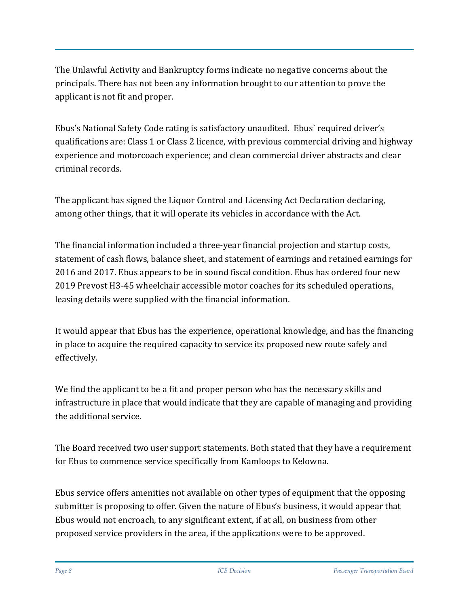The Unlawful Activity and Bankruptcy forms indicate no negative concerns about the principals. There has not been any information brought to our attention to prove the applicant is not fit and proper.

Ebus's National Safety Code rating is satisfactory unaudited. Ebus` required driver's qualifications are: Class 1 or Class 2 licence, with previous commercial driving and highway experience and motorcoach experience; and clean commercial driver abstracts and clear criminal records.

The applicant has signed the Liquor Control and Licensing Act Declaration declaring, among other things, that it will operate its vehicles in accordance with the Act.

The financial information included a three-year financial projection and startup costs, statement of cash flows, balance sheet, and statement of earnings and retained earnings for 2016 and 2017. Ebus appears to be in sound fiscal condition. Ebus has ordered four new 2019 Prevost H3-45 wheelchair accessible motor coaches for its scheduled operations, leasing details were supplied with the financial information.

It would appear that Ebus has the experience, operational knowledge, and has the financing in place to acquire the required capacity to service its proposed new route safely and effectively.

We find the applicant to be a fit and proper person who has the necessary skills and infrastructure in place that would indicate that they are capable of managing and providing the additional service.

The Board received two user support statements. Both stated that they have a requirement for Ebus to commence service specifically from Kamloops to Kelowna.

Ebus service offers amenities not available on other types of equipment that the opposing submitter is proposing to offer. Given the nature of Ebus's business, it would appear that Ebus would not encroach, to any significant extent, if at all, on business from other proposed service providers in the area, if the applications were to be approved.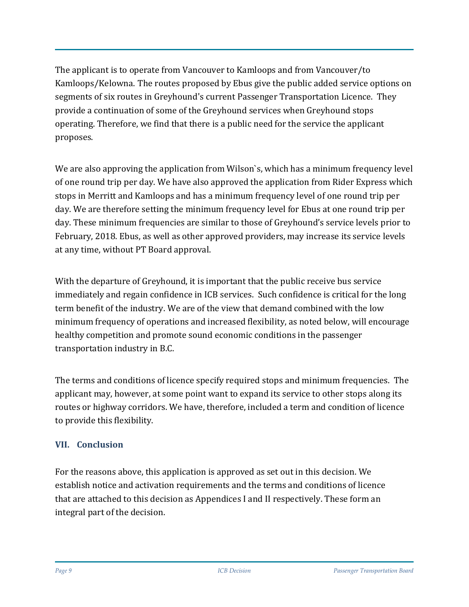The applicant is to operate from Vancouver to Kamloops and from Vancouver/to Kamloops/Kelowna. The routes proposed by Ebus give the public added service options on segments of six routes in Greyhound's current Passenger Transportation Licence. They provide a continuation of some of the Greyhound services when Greyhound stops operating. Therefore, we find that there is a public need for the service the applicant proposes.

We are also approving the application from Wilson`s, which has a minimum frequency level of one round trip per day. We have also approved the application from Rider Express which stops in Merritt and Kamloops and has a minimum frequency level of one round trip per day. We are therefore setting the minimum frequency level for Ebus at one round trip per day. These minimum frequencies are similar to those of Greyhound's service levels prior to February, 2018. Ebus, as well as other approved providers, may increase its service levels at any time, without PT Board approval.

With the departure of Greyhound, it is important that the public receive bus service immediately and regain confidence in ICB services. Such confidence is critical for the long term benefit of the industry. We are of the view that demand combined with the low minimum frequency of operations and increased flexibility, as noted below, will encourage healthy competition and promote sound economic conditions in the passenger transportation industry in B.C.

The terms and conditions of licence specify required stops and minimum frequencies. The applicant may, however, at some point want to expand its service to other stops along its routes or highway corridors. We have, therefore, included a term and condition of licence to provide this flexibility.

# **VII. Conclusion**

For the reasons above, this application is approved as set out in this decision. We establish notice and activation requirements and the terms and conditions of licence that are attached to this decision as Appendices I and II respectively. These form an integral part of the decision.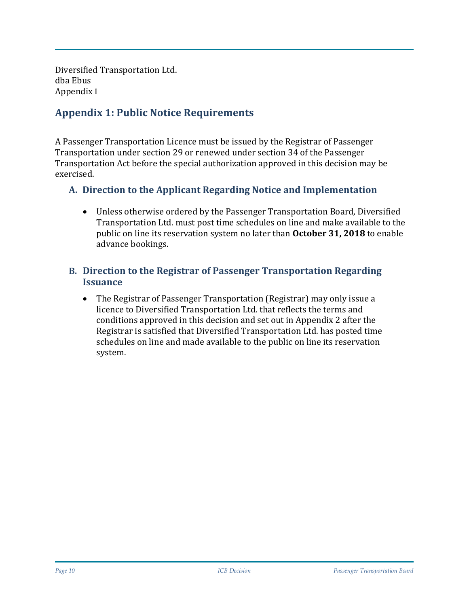Diversified Transportation Ltd. dba Ebus Appendix I

# **Appendix 1: Public Notice Requirements**

A Passenger Transportation Licence must be issued by the Registrar of Passenger Transportation under section 29 or renewed under section 34 of the Passenger Transportation Act before the special authorization approved in this decision may be exercised.

#### **A. Direction to the Applicant Regarding Notice and Implementation**

• Unless otherwise ordered by the Passenger Transportation Board, Diversified Transportation Ltd. must post time schedules on line and make available to the public on line its reservation system no later than **October 31, 2018** to enable advance bookings.

#### **B. Direction to the Registrar of Passenger Transportation Regarding Issuance**

• The Registrar of Passenger Transportation (Registrar) may only issue a licence to Diversified Transportation Ltd. that reflects the terms and conditions approved in this decision and set out in Appendix 2 after the Registrar is satisfied that Diversified Transportation Ltd. has posted time schedules on line and made available to the public on line its reservation system.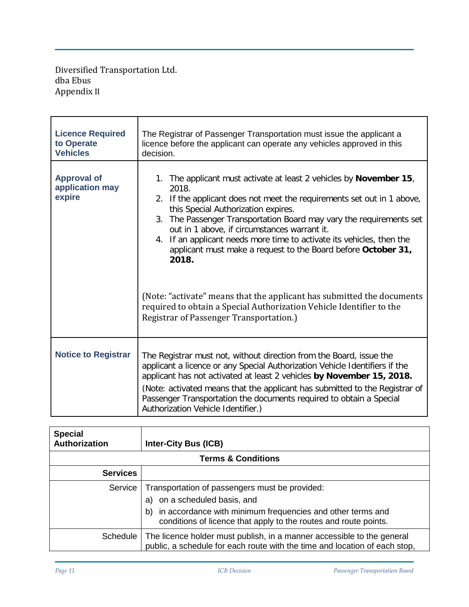Diversified Transportation Ltd. dba Ebus Appendix II

| <b>Licence Required</b><br>to Operate<br><b>Vehicles</b> | The Registrar of Passenger Transportation must issue the applicant a<br>licence before the applicant can operate any vehicles approved in this<br>decision.                                                                                                                                                                                                                                                                                                                    |  |  |
|----------------------------------------------------------|--------------------------------------------------------------------------------------------------------------------------------------------------------------------------------------------------------------------------------------------------------------------------------------------------------------------------------------------------------------------------------------------------------------------------------------------------------------------------------|--|--|
| <b>Approval of</b><br>application may<br>expire          | 1. The applicant must activate at least 2 vehicles by <b>November 15</b> ,<br>2018.<br>2. If the applicant does not meet the requirements set out in 1 above,<br>this Special Authorization expires.<br>3. The Passenger Transportation Board may vary the requirements set<br>out in 1 above, if circumstances warrant it.<br>4. If an applicant needs more time to activate its vehicles, then the<br>applicant must make a request to the Board before October 31,<br>2018. |  |  |
|                                                          | (Note: "activate" means that the applicant has submitted the documents<br>required to obtain a Special Authorization Vehicle Identifier to the<br>Registrar of Passenger Transportation.)                                                                                                                                                                                                                                                                                      |  |  |
| <b>Notice to Registrar</b>                               | The Registrar must not, without direction from the Board, issue the<br>applicant a licence or any Special Authorization Vehicle Identifiers if the<br>applicant has not activated at least 2 vehicles by November 15, 2018.<br>(Note: activated means that the applicant has submitted to the Registrar of<br>Passenger Transportation the documents required to obtain a Special<br>Authorization Vehicle Identifier.)                                                        |  |  |

| <b>Special</b><br>Authorization | <b>Inter-City Bus (ICB)</b>                                                                                                                                                                                               |  |  |  |
|---------------------------------|---------------------------------------------------------------------------------------------------------------------------------------------------------------------------------------------------------------------------|--|--|--|
| <b>Terms &amp; Conditions</b>   |                                                                                                                                                                                                                           |  |  |  |
| <b>Services</b>                 |                                                                                                                                                                                                                           |  |  |  |
| Service                         | Transportation of passengers must be provided:<br>on a scheduled basis, and<br>a)<br>in accordance with minimum frequencies and other terms and<br>b)<br>conditions of licence that apply to the routes and route points. |  |  |  |
| Schedule                        | The licence holder must publish, in a manner accessible to the general<br>public, a schedule for each route with the time and location of each stop,                                                                      |  |  |  |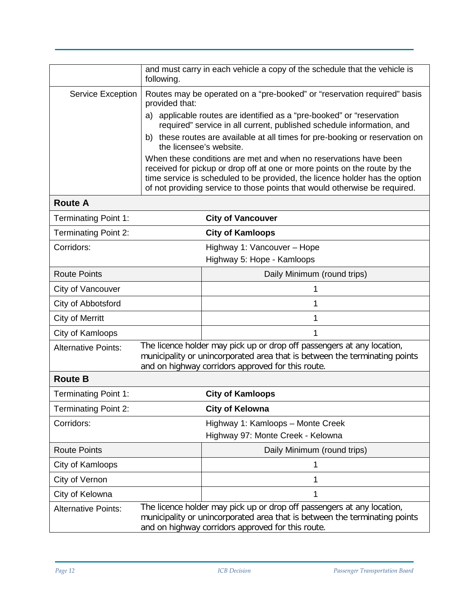|                             | and must carry in each vehicle a copy of the schedule that the vehicle is<br>following.                                                                                                                   |                                                                                                                                                                                                                                                                                                            |  |
|-----------------------------|-----------------------------------------------------------------------------------------------------------------------------------------------------------------------------------------------------------|------------------------------------------------------------------------------------------------------------------------------------------------------------------------------------------------------------------------------------------------------------------------------------------------------------|--|
| <b>Service Exception</b>    | Routes may be operated on a "pre-booked" or "reservation required" basis<br>provided that:                                                                                                                |                                                                                                                                                                                                                                                                                                            |  |
|                             | a) applicable routes are identified as a "pre-booked" or "reservation<br>required" service in all current, published schedule information, and                                                            |                                                                                                                                                                                                                                                                                                            |  |
|                             | the licensee's website.                                                                                                                                                                                   | b) these routes are available at all times for pre-booking or reservation on                                                                                                                                                                                                                               |  |
|                             |                                                                                                                                                                                                           | When these conditions are met and when no reservations have been<br>received for pickup or drop off at one or more points on the route by the<br>time service is scheduled to be provided, the licence holder has the option<br>of not providing service to those points that would otherwise be required. |  |
| <b>Route A</b>              |                                                                                                                                                                                                           |                                                                                                                                                                                                                                                                                                            |  |
| <b>Terminating Point 1:</b> |                                                                                                                                                                                                           | <b>City of Vancouver</b>                                                                                                                                                                                                                                                                                   |  |
| <b>Terminating Point 2:</b> |                                                                                                                                                                                                           | <b>City of Kamloops</b>                                                                                                                                                                                                                                                                                    |  |
| Corridors:                  |                                                                                                                                                                                                           | Highway 1: Vancouver - Hope                                                                                                                                                                                                                                                                                |  |
|                             |                                                                                                                                                                                                           | Highway 5: Hope - Kamloops                                                                                                                                                                                                                                                                                 |  |
| <b>Route Points</b>         |                                                                                                                                                                                                           | Daily Minimum (round trips)                                                                                                                                                                                                                                                                                |  |
| City of Vancouver           |                                                                                                                                                                                                           | 1                                                                                                                                                                                                                                                                                                          |  |
| City of Abbotsford          |                                                                                                                                                                                                           | 1                                                                                                                                                                                                                                                                                                          |  |
| <b>City of Merritt</b>      |                                                                                                                                                                                                           | 1                                                                                                                                                                                                                                                                                                          |  |
| City of Kamloops            |                                                                                                                                                                                                           | 1                                                                                                                                                                                                                                                                                                          |  |
| <b>Alternative Points:</b>  | The licence holder may pick up or drop off passengers at any location,<br>municipality or unincorporated area that is between the terminating points<br>and on highway corridors approved for this route. |                                                                                                                                                                                                                                                                                                            |  |
| <b>Route B</b>              |                                                                                                                                                                                                           |                                                                                                                                                                                                                                                                                                            |  |
| <b>Terminating Point 1:</b> |                                                                                                                                                                                                           | <b>City of Kamloops</b>                                                                                                                                                                                                                                                                                    |  |
| <b>Terminating Point 2:</b> |                                                                                                                                                                                                           | <b>City of Kelowna</b>                                                                                                                                                                                                                                                                                     |  |
| Corridors:                  |                                                                                                                                                                                                           | Highway 1: Kamloops - Monte Creek<br>Highway 97: Monte Creek - Kelowna                                                                                                                                                                                                                                     |  |
| <b>Route Points</b>         |                                                                                                                                                                                                           | Daily Minimum (round trips)                                                                                                                                                                                                                                                                                |  |
| City of Kamloops            |                                                                                                                                                                                                           | 1                                                                                                                                                                                                                                                                                                          |  |
| City of Vernon              |                                                                                                                                                                                                           | 1                                                                                                                                                                                                                                                                                                          |  |
| City of Kelowna             |                                                                                                                                                                                                           | 1                                                                                                                                                                                                                                                                                                          |  |
| <b>Alternative Points:</b>  | The licence holder may pick up or drop off passengers at any location,<br>municipality or unincorporated area that is between the terminating points<br>and on highway corridors approved for this route. |                                                                                                                                                                                                                                                                                                            |  |